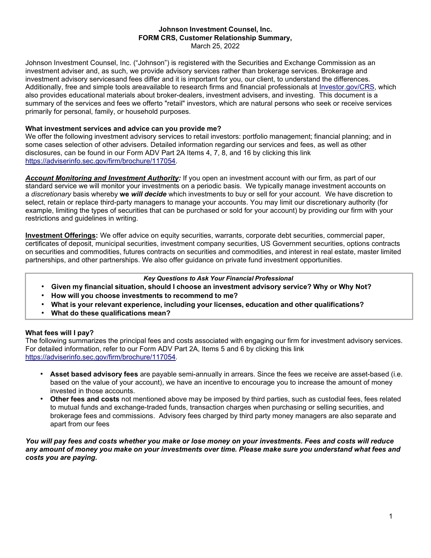# **Johnson Investment Counsel, Inc. FORM CRS, Customer Relationship Summary,**

March 25, 2022

Johnson Investment Counsel, Inc. ("Johnson") is registered with the Securities and Exchange Commission as an investment adviser and, as such, we provide advisory services rather than brokerage services. Brokerage and investment advisory servicesand fees differ and it is important for you, our client, to understand the differences. Additionally, free and simple tools areavailable to research firms and financial professionals at [Investor.gov/CRS,](http://www.investor.gov/CRS) which also provides educational materials about broker-dealers, investment advisers, and investing. This document is a summary of the services and fees we offerto "retail" investors, which are natural persons who seek or receive services primarily for personal, family, or household purposes.

### **What investment services and advice can you provide me?**

We offer the following investment advisory services to retail investors: portfolio management; financial planning; and in some cases selection of other advisers. Detailed information regarding our services and fees, as well as other disclosures, can be found in our Form ADV Part 2A Items 4, 7, 8, and 16 by clicking this link [https://adviserinfo.sec.gov/firm/brochure/117054.](https://adviserinfo.sec.gov/firm/brochure/117054)

*Account Monitoring and Investment Authority:* If you open an investment account with our firm, as part of our standard service we will monitor your investments on a periodic basis. We typically manage investment accounts on a *discretionary* basis whereby **we** *will decide* which investments to buy or sell for your account. We have discretion to select, retain or replace third-party managers to manage your accounts. You may limit our discretionary authority (for example, limiting the types of securities that can be purchased or sold for your account) by providing our firm with your restrictions and guidelines in writing.

**Investment Offerings:** We offer advice on equity securities, warrants, corporate debt securities, commercial paper, certificates of deposit, municipal securities, investment company securities, US Government securities, options contracts on securities and commodities, futures contracts on securities and commodities, and interest in real estate, master limited partnerships, and other partnerships. We also offer guidance on private fund investment opportunities.

### *Key Questions to Ask Your Financial Professional*

- **Given my financial situation, should I choose an investment advisory service? Why or Why Not?**
- **How will you choose investments to recommend to me?**
- **What is your relevant experience, including your licenses, education and other qualifications?**
- **What do these qualifications mean?**

# **What fees will I pay?**

The following summarizes the principal fees and costs associated with engaging our firm for investment advisory services. For detailed information, refer to our Form ADV Part 2A, Items 5 and 6 by clicking this link [https://adviserinfo.sec.gov/firm/brochure/117054.](https://adviserinfo.sec.gov/firm/brochure/117054)

- **Asset based advisory fees** are payable semi-annually in arrears. Since the fees we receive are asset-based (i.e. based on the value of your account), we have an incentive to encourage you to increase the amount of money invested in those accounts.
- **Other fees and costs** not mentioned above may be imposed by third parties, such as custodial fees, fees related to mutual funds and exchange-traded funds, transaction charges when purchasing or selling securities, and brokerage fees and commissions. Advisory fees charged by third party money managers are also separate and apart from our fees

*You will pay fees and costs whether you make or lose money on your investments. Fees and costs will reduce* any amount of money you make on your investments over time. Please make sure you understand what fees and *costs you are paying.*